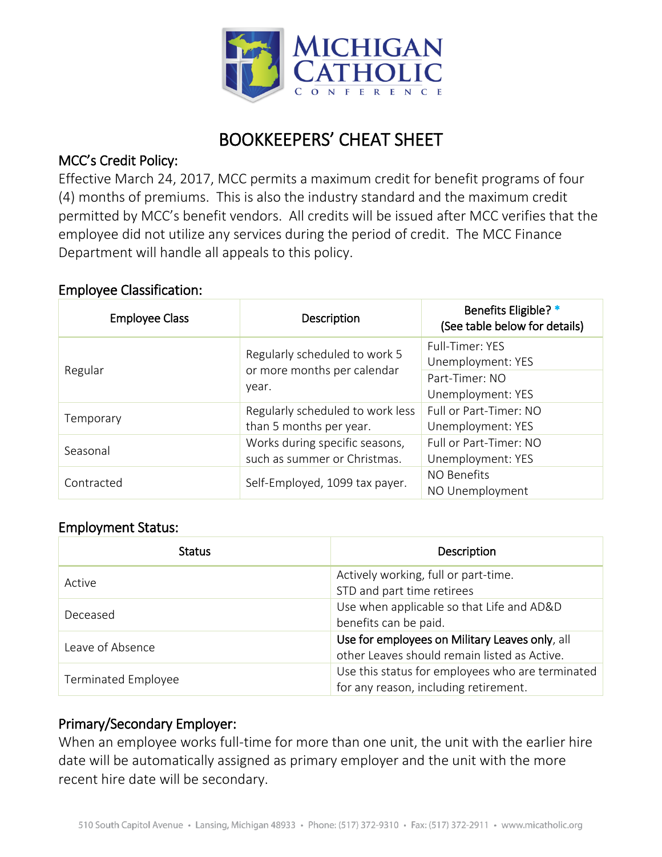

# BOOKKEEPERS' CHEAT SHEET

#### MCC's Credit Policy:

Effective March 24, 2017, MCC permits a maximum credit for benefit programs of four (4) months of premiums. This is also the industry standard and the maximum credit permitted by MCC's benefit vendors. All credits will be issued after MCC verifies that the employee did not utilize any services during the period of credit. The MCC Finance Department will handle all appeals to this policy.

#### Employee Classification:

| <b>Employee Class</b> | Description                                                           | Benefits Eligible? *<br>(See table below for details) |
|-----------------------|-----------------------------------------------------------------------|-------------------------------------------------------|
| Regular               | Regularly scheduled to work 5<br>or more months per calendar<br>year. | Full-Timer: YES<br>Unemployment: YES                  |
|                       |                                                                       | Part-Timer: NO<br>Unemployment: YES                   |
| Temporary             | Regularly scheduled to work less<br>than 5 months per year.           | Full or Part-Timer: NO<br>Unemployment: YES           |
| Seasonal              | Works during specific seasons,<br>such as summer or Christmas.        | Full or Part-Timer: NO<br>Unemployment: YES           |
| Contracted            | Self-Employed, 1099 tax payer.                                        | NO Benefits<br>NO Unemployment                        |

#### Employment Status:

| <b>Status</b>              | Description                                      |
|----------------------------|--------------------------------------------------|
| Active                     | Actively working, full or part-time.             |
|                            | STD and part time retirees                       |
|                            | Use when applicable so that Life and AD&D        |
| Deceased                   | benefits can be paid.                            |
| Leave of Absence           | Use for employees on Military Leaves only, all   |
|                            | other Leaves should remain listed as Active.     |
|                            | Use this status for employees who are terminated |
| <b>Terminated Employee</b> | for any reason, including retirement.            |

### Primary/Secondary Employer:

When an employee works full-time for more than one unit, the unit with the earlier hire date will be automatically assigned as primary employer and the unit with the more recent hire date will be secondary.